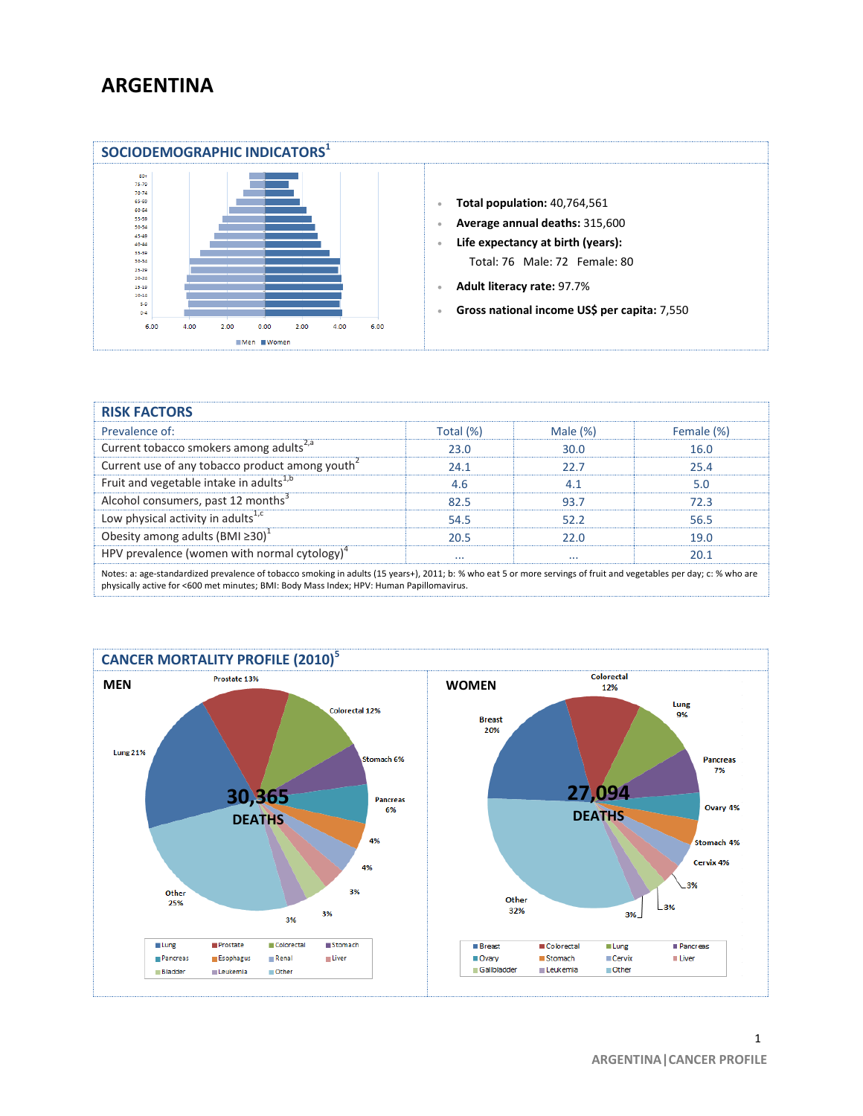## **ARGENTINA**



| <b>RISK FACTORS</b>                                                                                                                                                                                                                                             |           |             |            |
|-----------------------------------------------------------------------------------------------------------------------------------------------------------------------------------------------------------------------------------------------------------------|-----------|-------------|------------|
| Prevalence of:                                                                                                                                                                                                                                                  | Total (%) | Male $(\%)$ | Female (%) |
| Current tobacco smokers among adults <sup>2,a</sup>                                                                                                                                                                                                             | 23.0      | 30.0        | 16.0       |
| Current use of any tobacco product among youth <sup>2</sup>                                                                                                                                                                                                     | 24.1      | 22.7        | 25.4       |
| Fruit and vegetable intake in adults <sup>1,b</sup>                                                                                                                                                                                                             | 4.6       | 4.1         | 5.0        |
| Alcohol consumers, past 12 months <sup>3</sup>                                                                                                                                                                                                                  | 82.5      | 93.7        | 72.3       |
| Low physical activity in adults <sup>1,c</sup>                                                                                                                                                                                                                  | 54.5      | 52.2        | 56.5       |
| Obesity among adults (BMI $\geq 30$ ) <sup>1</sup>                                                                                                                                                                                                              | 20.5      | 22.0        | 19.0       |
| HPV prevalence (women with normal cytology) <sup>4</sup>                                                                                                                                                                                                        | $\cdots$  | $\cdots$    | 20.1       |
| Notes: a: age-standardized prevalence of tobacco smoking in adults (15 years+), 2011; b: % who eat 5 or more servings of fruit and vegetables per day; c: % who are<br>physically active for <600 met minutes; BMI: Body Mass Index; HPV: Human Papillomavirus. |           |             |            |

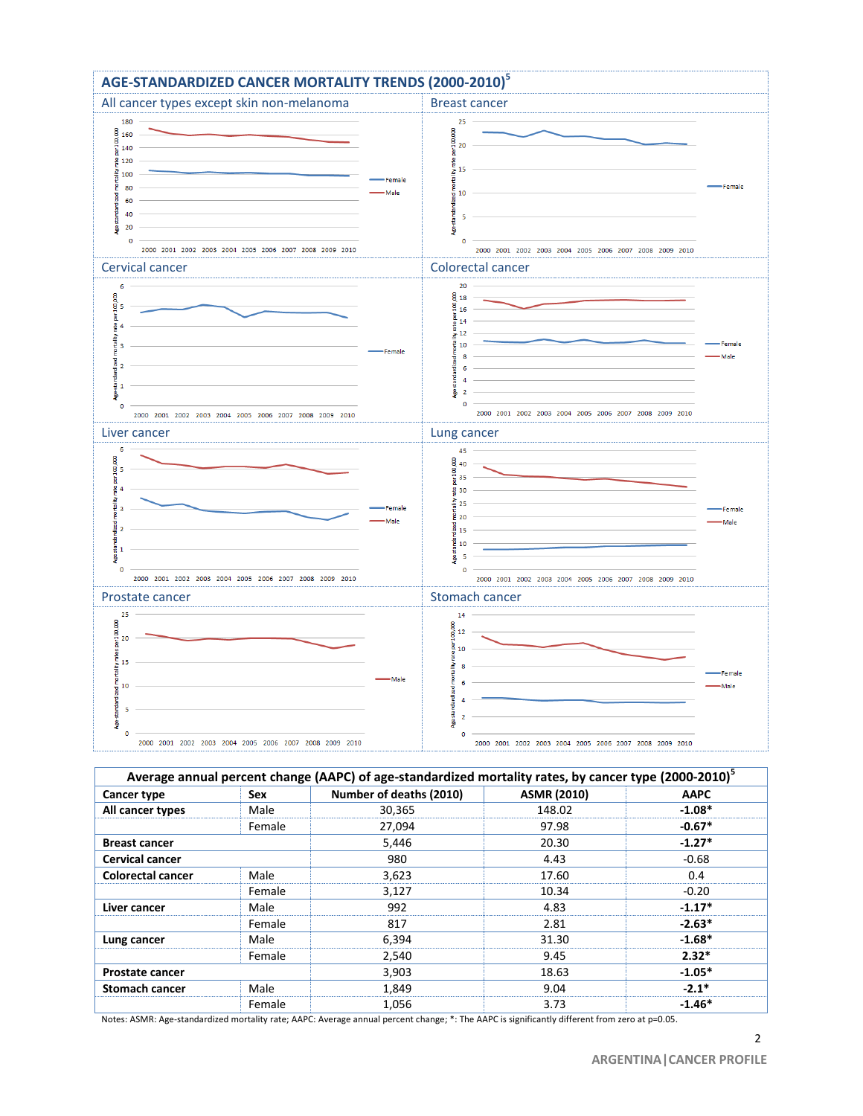

| Average annual percent change (AAPC) of age-standardized mortality rates, by cancer type (2000-2010) <sup>5</sup> |        |                         |                    |             |
|-------------------------------------------------------------------------------------------------------------------|--------|-------------------------|--------------------|-------------|
| Cancer type                                                                                                       | Sex    | Number of deaths (2010) | <b>ASMR (2010)</b> | <b>AAPC</b> |
| All cancer types                                                                                                  | Male   | 30,365                  | 148.02             | $-1.08*$    |
|                                                                                                                   | Female | 27,094                  | 97.98              | $-0.67*$    |
| <b>Breast cancer</b>                                                                                              |        | 5,446                   | 20.30              | $-1.27*$    |
| <b>Cervical cancer</b>                                                                                            |        | 980                     | 4.43               | -0.68       |
| <b>Colorectal cancer</b>                                                                                          | Male   | 3,623                   | 17.60              | 0.4         |
|                                                                                                                   | Female | 3,127                   | 10.34              | $-0.20$     |
| Liver cancer                                                                                                      | Male   | 992                     | 4.83               | $-1.17*$    |
|                                                                                                                   | Female | 817                     | 2.81               | $-2.63*$    |
| Lung cancer                                                                                                       | Male   | 6,394                   | 31.30              | $-1.68*$    |
|                                                                                                                   | Female | 2,540                   | 9.45               | $2.32*$     |
| <b>Prostate cancer</b>                                                                                            |        | 3,903                   | 18.63              | $-1.05*$    |
| <b>Stomach cancer</b>                                                                                             | Male   | 1,849                   | 9.04               | $-2.1*$     |
|                                                                                                                   | Female | 1.056                   | 3.73               | $-1.46*$    |

Notes: ASMR: Age-standardized mortality rate; AAPC: Average annual percent change; \*: The AAPC is significantly different from zero at p=0.05.

2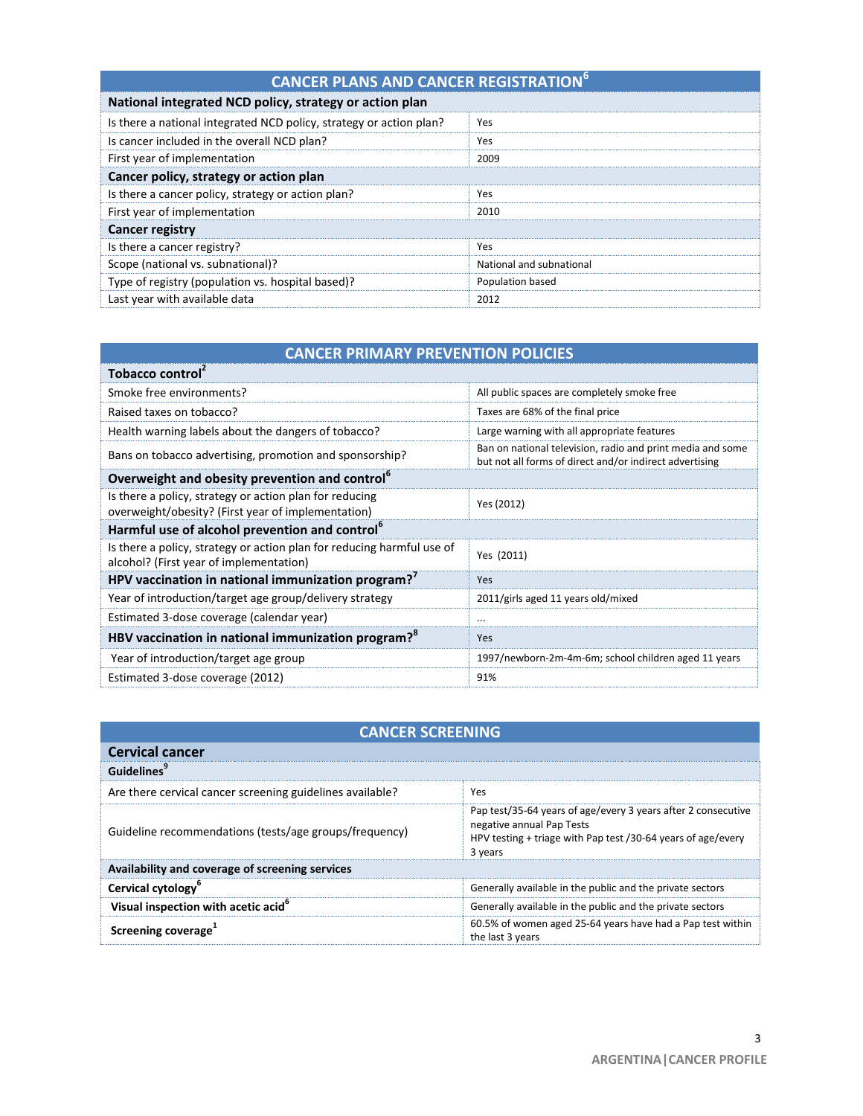| <b>CANCER PLANS AND CANCER REGISTRATION<sup>6</sup></b>             |                          |  |
|---------------------------------------------------------------------|--------------------------|--|
| National integrated NCD policy, strategy or action plan             |                          |  |
| Is there a national integrated NCD policy, strategy or action plan? | Yes                      |  |
| Is cancer included in the overall NCD plan?                         | Yes                      |  |
| First year of implementation                                        | 2009                     |  |
| Cancer policy, strategy or action plan                              |                          |  |
| Is there a cancer policy, strategy or action plan?                  | Yes                      |  |
| First year of implementation                                        | 2010                     |  |
| <b>Cancer registry</b>                                              |                          |  |
| Is there a cancer registry?                                         | Yes                      |  |
| Scope (national vs. subnational)?                                   | National and subnational |  |
| Type of registry (population vs. hospital based)?                   | Population based         |  |
| Last year with available data                                       | 2012                     |  |

|  | <b>CANCER PRIMARY PREVENTION POLICIES</b> |
|--|-------------------------------------------|
|  |                                           |

| Tobacco control                                                                                                   |                                                                                                                       |  |
|-------------------------------------------------------------------------------------------------------------------|-----------------------------------------------------------------------------------------------------------------------|--|
| Smoke free environments?                                                                                          | All public spaces are completely smoke free                                                                           |  |
| Raised taxes on tobacco?                                                                                          | Taxes are 68% of the final price                                                                                      |  |
| Health warning labels about the dangers of tobacco?                                                               | Large warning with all appropriate features                                                                           |  |
| Bans on tobacco advertising, promotion and sponsorship?                                                           | Ban on national television, radio and print media and some<br>but not all forms of direct and/or indirect advertising |  |
| Overweight and obesity prevention and control <sup>6</sup>                                                        |                                                                                                                       |  |
| Is there a policy, strategy or action plan for reducing<br>overweight/obesity? (First year of implementation)     | Yes (2012)                                                                                                            |  |
| Harmful use of alcohol prevention and control <sup>6</sup>                                                        |                                                                                                                       |  |
| Is there a policy, strategy or action plan for reducing harmful use of<br>alcohol? (First year of implementation) | Yes (2011)                                                                                                            |  |
| HPV vaccination in national immunization program? <sup>7</sup>                                                    | Yes                                                                                                                   |  |
| Year of introduction/target age group/delivery strategy                                                           | 2011/girls aged 11 years old/mixed                                                                                    |  |
| Estimated 3-dose coverage (calendar year)                                                                         | $\cdots$                                                                                                              |  |
| HBV vaccination in national immunization program? <sup>8</sup>                                                    | Yes                                                                                                                   |  |
| Year of introduction/target age group                                                                             | 1997/newborn-2m-4m-6m; school children aged 11 years                                                                  |  |
| Estimated 3-dose coverage (2012)                                                                                  | 91%                                                                                                                   |  |

| <b>CANCER SCREENING</b>                                   |                                                                                                                                                                       |  |  |
|-----------------------------------------------------------|-----------------------------------------------------------------------------------------------------------------------------------------------------------------------|--|--|
| <b>Cervical cancer</b>                                    |                                                                                                                                                                       |  |  |
| Guidelines                                                |                                                                                                                                                                       |  |  |
| Are there cervical cancer screening guidelines available? | Yes                                                                                                                                                                   |  |  |
| Guideline recommendations (tests/age groups/frequency)    | Pap test/35-64 years of age/every 3 years after 2 consecutive<br>negative annual Pap Tests<br>HPV testing + triage with Pap test /30-64 years of age/every<br>3 years |  |  |
| Availability and coverage of screening services           |                                                                                                                                                                       |  |  |
| Cervical cytology <sup>6</sup>                            | Generally available in the public and the private sectors                                                                                                             |  |  |
| Visual inspection with acetic acid <sup>6</sup>           | Generally available in the public and the private sectors                                                                                                             |  |  |
| Screening coverage <sup>1</sup>                           | 60.5% of women aged 25-64 years have had a Pap test within<br>the last 3 years                                                                                        |  |  |